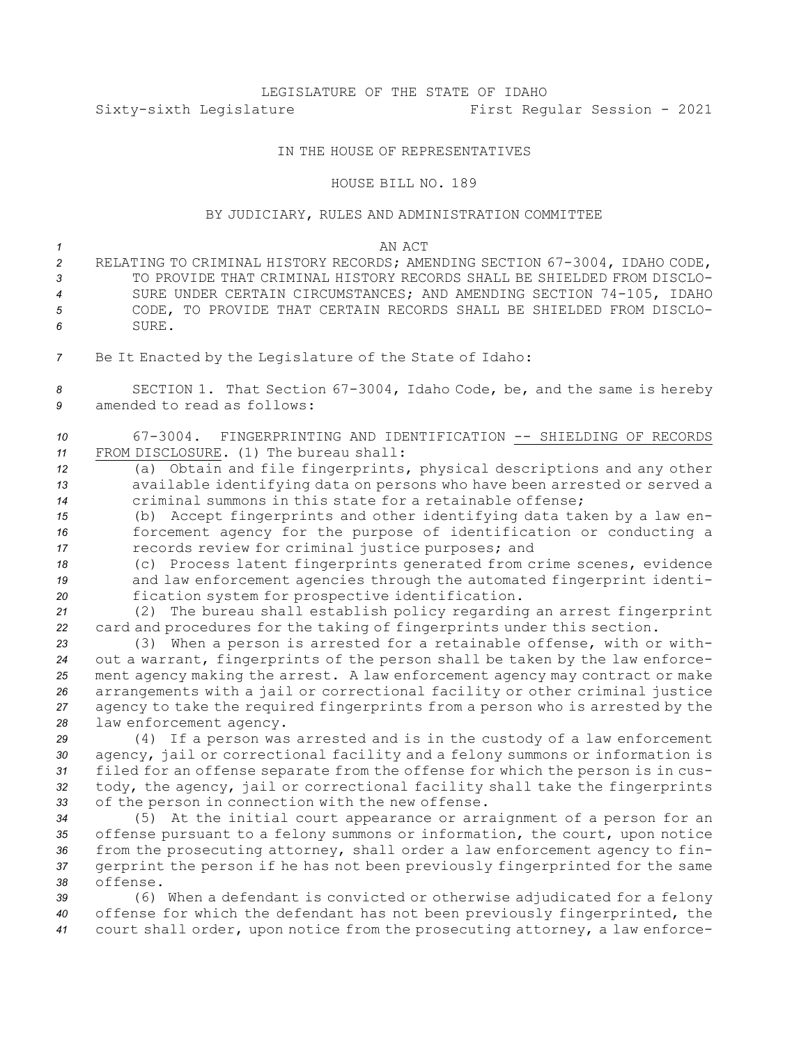# LEGISLATURE OF THE STATE OF IDAHO Sixty-sixth Legislature First Regular Session - 2021

## IN THE HOUSE OF REPRESENTATIVES

#### HOUSE BILL NO. 189

## BY JUDICIARY, RULES AND ADMINISTRATION COMMITTEE

*1* AN ACT RELATING TO CRIMINAL HISTORY RECORDS; AMENDING SECTION 67-3004, IDAHO CODE, TO PROVIDE THAT CRIMINAL HISTORY RECORDS SHALL BE SHIELDED FROM DISCLO- SURE UNDER CERTAIN CIRCUMSTANCES; AND AMENDING SECTION 74-105, IDAHO CODE, TO PROVIDE THAT CERTAIN RECORDS SHALL BE SHIELDED FROM DISCLO-*6* SURE. Be It Enacted by the Legislature of the State of Idaho: SECTION 1. That Section 67-3004, Idaho Code, be, and the same is hereby amended to read as follows: 67-3004. FINGERPRINTING AND IDENTIFICATION -- SHIELDING OF RECORDS FROM DISCLOSURE. (1) The bureau shall: (a) Obtain and file fingerprints, physical descriptions and any other available identifying data on persons who have been arrested or served <sup>a</sup> criminal summons in this state for <sup>a</sup> retainable offense; (b) Accept fingerprints and other identifying data taken by <sup>a</sup> law en- forcement agency for the purpose of identification or conducting <sup>a</sup> records review for criminal justice purposes; and (c) Process latent fingerprints generated from crime scenes, evidence and law enforcement agencies through the automated fingerprint identi- fication system for prospective identification. (2) The bureau shall establish policy regarding an arrest fingerprint card and procedures for the taking of fingerprints under this section. (3) When <sup>a</sup> person is arrested for <sup>a</sup> retainable offense, with or with- out <sup>a</sup> warrant, fingerprints of the person shall be taken by the law enforce- ment agency making the arrest. <sup>A</sup> law enforcement agency may contract or make arrangements with <sup>a</sup> jail or correctional facility or other criminal justice agency to take the required fingerprints from <sup>a</sup> person who is arrested by the law enforcement agency. (4) If <sup>a</sup> person was arrested and is in the custody of <sup>a</sup> law enforcement agency, jail or correctional facility and <sup>a</sup> felony summons or information is filed for an offense separate from the offense for which the person is in cus- tody, the agency, jail or correctional facility shall take the fingerprints of the person in connection with the new offense. (5) At the initial court appearance or arraignment of <sup>a</sup> person for an offense pursuant to <sup>a</sup> felony summons or information, the court, upon notice from the prosecuting attorney, shall order <sup>a</sup> law enforcement agency to fin- gerprint the person if he has not been previously fingerprinted for the same *38* offense.

*<sup>39</sup>* (6) When <sup>a</sup> defendant is convicted or otherwise adjudicated for <sup>a</sup> felony *<sup>40</sup>* offense for which the defendant has not been previously fingerprinted, the *<sup>41</sup>* court shall order, upon notice from the prosecuting attorney, <sup>a</sup> law enforce-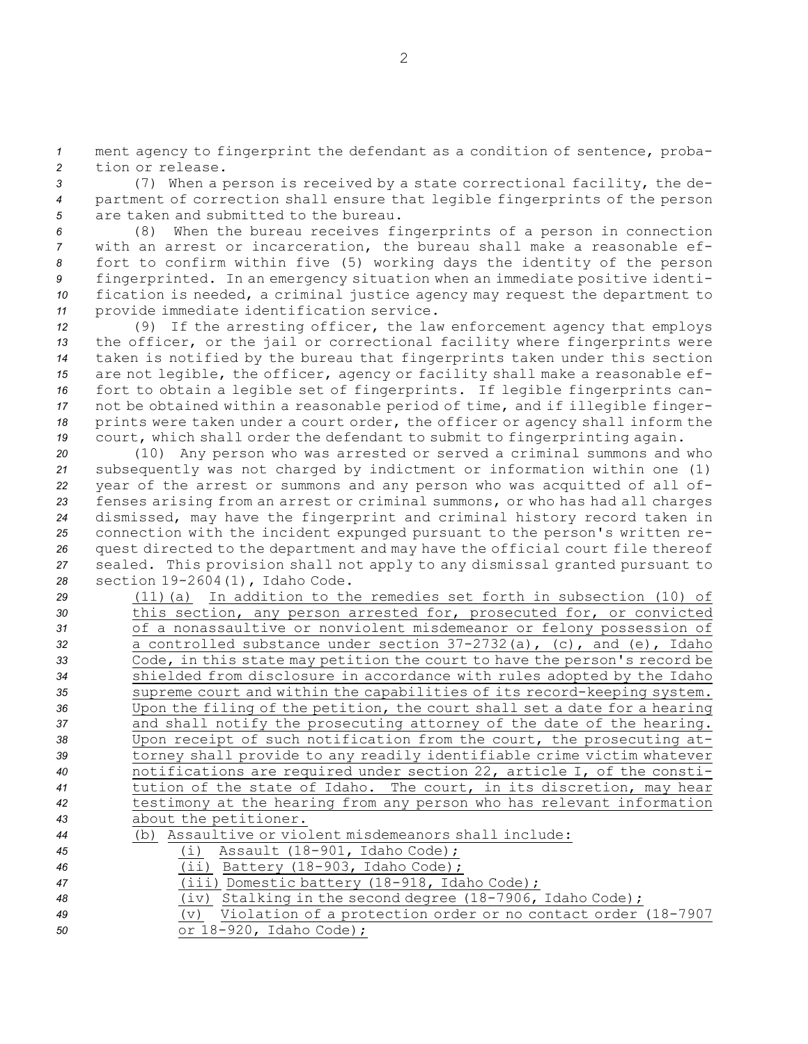*<sup>1</sup>* ment agency to fingerprint the defendant as <sup>a</sup> condition of sentence, proba-*2* tion or release.

*<sup>3</sup>* (7) When <sup>a</sup> person is received by <sup>a</sup> state correctional facility, the de-*<sup>4</sup>* partment of correction shall ensure that legible fingerprints of the person *5* are taken and submitted to the bureau.

 (8) When the bureau receives fingerprints of <sup>a</sup> person in connection with an arrest or incarceration, the bureau shall make <sup>a</sup> reasonable ef- fort to confirm within five (5) working days the identity of the person fingerprinted. In an emergency situation when an immediate positive identi- fication is needed, <sup>a</sup> criminal justice agency may request the department to provide immediate identification service.

 (9) If the arresting officer, the law enforcement agency that employs the officer, or the jail or correctional facility where fingerprints were taken is notified by the bureau that fingerprints taken under this section are not legible, the officer, agency or facility shall make <sup>a</sup> reasonable ef- fort to obtain <sup>a</sup> legible set of fingerprints. If legible fingerprints can- not be obtained within <sup>a</sup> reasonable period of time, and if illegible finger- prints were taken under <sup>a</sup> court order, the officer or agency shall inform the court, which shall order the defendant to submit to fingerprinting again.

 (10) Any person who was arrested or served <sup>a</sup> criminal summons and who subsequently was not charged by indictment or information within one (1) year of the arrest or summons and any person who was acquitted of all of- fenses arising from an arrest or criminal summons, or who has had all charges dismissed, may have the fingerprint and criminal history record taken in connection with the incident expunged pursuant to the person's written re- quest directed to the department and may have the official court file thereof sealed. This provision shall not apply to any dismissal granted pursuant to section 19-2604(1), Idaho Code.

| 29 | $(11)$ (a) In addition to the remedies set forth in subsection (10) of    |
|----|---------------------------------------------------------------------------|
| 30 | this section, any person arrested for, prosecuted for, or convicted       |
| 31 | of a nonassaultive or nonviolent misdemeanor or felony possession of      |
| 32 | a controlled substance under section $37-2732(a)$ , (c), and (e), Idaho   |
| 33 | Code, in this state may petition the court to have the person's record be |
| 34 | shielded from disclosure in accordance with rules adopted by the Idaho    |
| 35 | supreme court and within the capabilities of its record-keeping system.   |
| 36 | Upon the filing of the petition, the court shall set a date for a hearing |
| 37 | and shall notify the prosecuting attorney of the date of the hearing.     |
| 38 | Upon receipt of such notification from the court, the prosecuting at-     |
| 39 | torney shall provide to any readily identifiable crime victim whatever    |
| 40 | notifications are required under section 22, article I, of the consti-    |
| 41 | tution of the state of Idaho. The court, in its discretion, may hear      |
| 42 | testimony at the hearing from any person who has relevant information     |
| 43 | about the petitioner.                                                     |
| 44 | (b) Assaultive or violent misdemeanors shall include:                     |
| 45 | Assault (18-901, Idaho Code);<br>(i)                                      |
| 46 | $(i)$ Battery (18-903, Idaho Code);                                       |
| 47 | (iii) Domestic battery (18-918, Idaho Code);                              |
|    |                                                                           |

- *<sup>48</sup>* (iv) Stalking in the second degree (18-7906, Idaho Code);
- *<sup>49</sup>* (v) Violation of <sup>a</sup> protection order or no contact order (18-7907 *<sup>50</sup>* or 18-920, Idaho Code);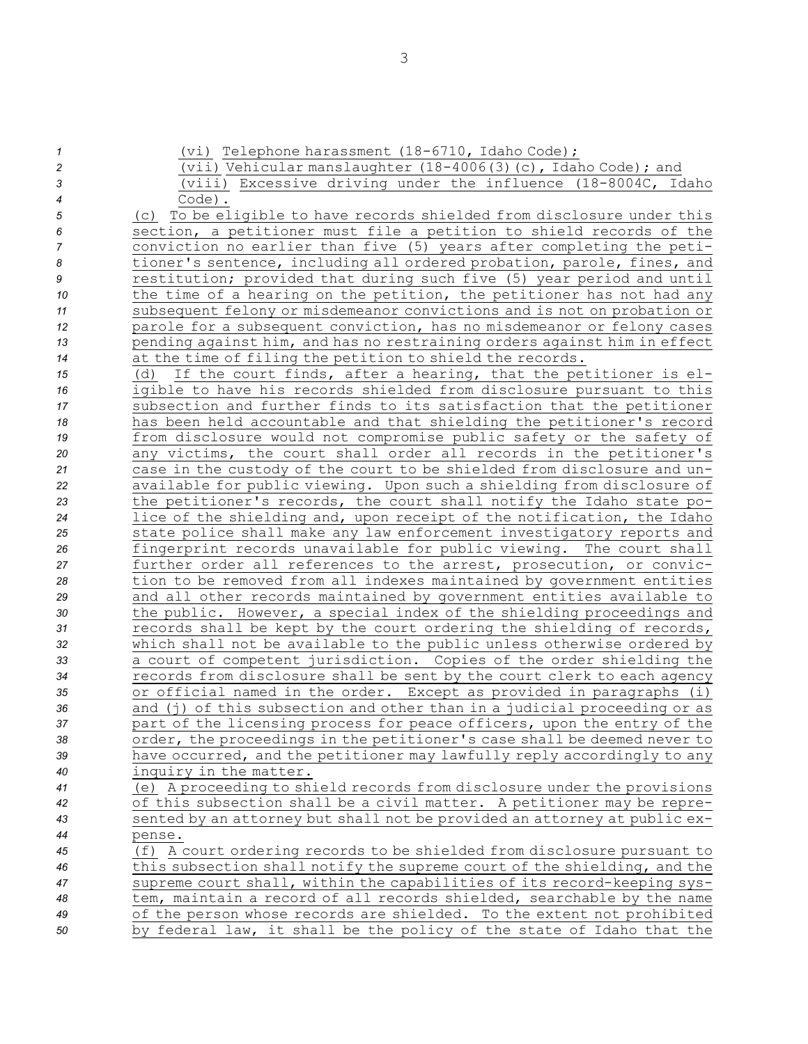| $\boldsymbol{\mathcal{1}}$ | (vi) Telephone harassment (18-6710, Idaho Code);                          |
|----------------------------|---------------------------------------------------------------------------|
| $\overline{c}$             | (vii) Vehicular manslaughter $(18-4006(3)(c)$ , Idaho Code); and          |
| 3                          | (viii) Excessive driving under the influence (18-8004C, Idaho             |
| 4                          | $Code$ ).                                                                 |
| 5                          | (c) To be eligible to have records shielded from disclosure under this    |
| 6                          | section, a petitioner must file a petition to shield records of the       |
| 7                          | conviction no earlier than five (5) years after completing the peti-      |
| 8                          | tioner's sentence, including all ordered probation, parole, fines, and    |
| 9                          | restitution; provided that during such five (5) year period and until     |
| 10                         | the time of a hearing on the petition, the petitioner has not had any     |
| 11                         | subsequent felony or misdemeanor convictions and is not on probation or   |
| 12                         | parole for a subsequent conviction, has no misdemeanor or felony cases    |
| 13                         | pending against him, and has no restraining orders against him in effect  |
| 14                         | at the time of filing the petition to shield the records.                 |
| 15                         | If the court finds, after a hearing, that the petitioner is el-<br>(d)    |
| 16                         | igible to have his records shielded from disclosure pursuant to this      |
| 17                         | subsection and further finds to its satisfaction that the petitioner      |
| 18                         | has been held accountable and that shielding the petitioner's record      |
| 19                         | from disclosure would not compromise public safety or the safety of       |
| 20                         | any victims, the court shall order all records in the petitioner's        |
| 21                         | case in the custody of the court to be shielded from disclosure and un-   |
| 22                         | available for public viewing. Upon such a shielding from disclosure of    |
| 23                         | the petitioner's records, the court shall notify the Idaho state po-      |
| 24                         | lice of the shielding and, upon receipt of the notification, the Idaho    |
| 25                         | state police shall make any law enforcement investigatory reports and     |
| 26                         | fingerprint records unavailable for public viewing. The court shall       |
| 27                         | further order all references to the arrest, prosecution, or convic-       |
| 28                         | tion to be removed from all indexes maintained by government entities     |
| 29                         | and all other records maintained by government entities available to      |
| 30                         | the public. However, a special index of the shielding proceedings and     |
| 31                         | records shall be kept by the court ordering the shielding of records,     |
| 32                         | which shall not be available to the public unless otherwise ordered by    |
| 33                         | a court of competent jurisdiction. Copies of the order shielding the      |
| 34                         | records from disclosure shall be sent by the court clerk to each agency   |
| 35                         | or official named in the order. Except as provided in paragraphs (i)      |
| 36                         | and (j) of this subsection and other than in a judicial proceeding or as  |
| 37                         | part of the licensing process for peace officers, upon the entry of the   |
| 38                         | order, the proceedings in the petitioner's case shall be deemed never to  |
| 39                         | have occurred, and the petitioner may lawfully reply accordingly to any   |
| 40                         | inquiry in the matter.                                                    |
| 41                         | (e) A proceeding to shield records from disclosure under the provisions   |
| 42                         | of this subsection shall be a civil matter. A petitioner may be repre-    |
| 43                         | sented by an attorney but shall not be provided an attorney at public ex- |
| 44                         | pense.                                                                    |
| 45                         | (f) A court ordering records to be shielded from disclosure pursuant to   |
| 46                         | this subsection shall notify the supreme court of the shielding, and the  |
| 47                         | supreme court shall, within the capabilities of its record-keeping sys-   |
| 48                         | tem, maintain a record of all records shielded, searchable by the name    |
| 49                         | of the person whose records are shielded. To the extent not prohibited    |
| 50                         | by federal law, it shall be the policy of the state of Idaho that the     |
|                            |                                                                           |

3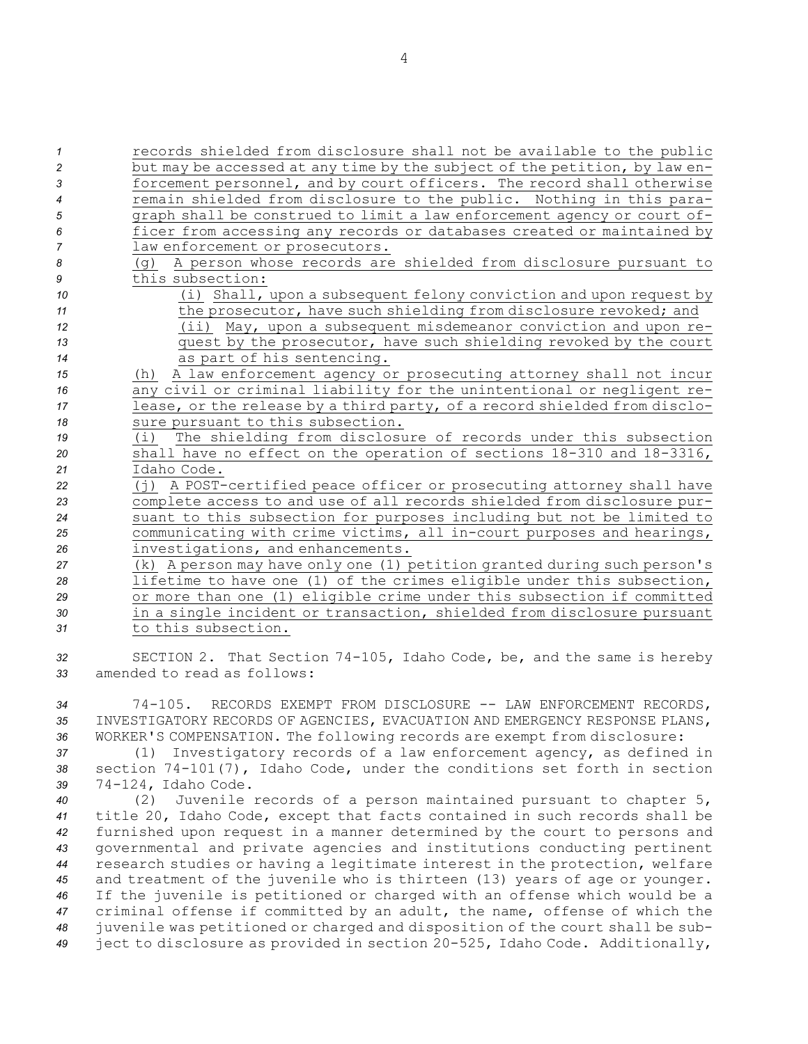records shielded from disclosure shall not be available to the public but may be accessed at any time by the subject of the petition, by law en- forcement personnel, and by court officers. The record shall otherwise remain shielded from disclosure to the public. Nothing in this para- graph shall be construed to limit <sup>a</sup> law enforcement agency or court of- ficer from accessing any records or databases created or maintained by law enforcement or prosecutors. (g) <sup>A</sup> person whose records are shielded from disclosure pursuant to this subsection: (i) Shall, upon <sup>a</sup> subsequent felony conviction and upon request by **11** the prosecutor, have such shielding from disclosure revoked; and (ii) May, upon <sup>a</sup> subsequent misdemeanor conviction and upon re- quest by the prosecutor, have such shielding revoked by the court as part of his sentencing. (h) <sup>A</sup> law enforcement agency or prosecuting attorney shall not incur any civil or criminal liability for the unintentional or negligent re- lease, or the release by <sup>a</sup> third party, of <sup>a</sup> record shielded from disclo- sure pursuant to this subsection. (i) The shielding from disclosure of records under this subsection shall have no effect on the operation of sections 18-310 and 18-3316, Idaho Code. (j) <sup>A</sup> POST-certified peace officer or prosecuting attorney shall have complete access to and use of all records shielded from disclosure pur- suant to this subsection for purposes including but not be limited to communicating with crime victims, all in-court purposes and hearings, investigations, and enhancements. (k) <sup>A</sup> person may have only one (1) petition granted during such person's lifetime to have one (1) of the crimes eligible under this subsection, or more than one (1) eligible crime under this subsection if committed in <sup>a</sup> single incident or transaction, shielded from disclosure pursuant to this subsection. SECTION 2. That Section 74-105, Idaho Code, be, and the same is hereby

*33* amended to read as follows:

*<sup>34</sup>* 74-105. RECORDS EXEMPT FROM DISCLOSURE -- LAW ENFORCEMENT RECORDS, *35* INVESTIGATORY RECORDS OF AGENCIES, EVACUATION AND EMERGENCY RESPONSE PLANS, *<sup>36</sup>* WORKER'S COMPENSATION. The following records are exempt from disclosure:

*<sup>37</sup>* (1) Investigatory records of <sup>a</sup> law enforcement agency, as defined in *<sup>38</sup>* section 74-101(7), Idaho Code, under the conditions set forth in section *<sup>39</sup>* 74-124, Idaho Code.

 (2) Juvenile records of <sup>a</sup> person maintained pursuant to chapter 5, title 20, Idaho Code, except that facts contained in such records shall be furnished upon request in <sup>a</sup> manner determined by the court to persons and governmental and private agencies and institutions conducting pertinent research studies or having <sup>a</sup> legitimate interest in the protection, welfare and treatment of the juvenile who is thirteen (13) years of age or younger. If the juvenile is petitioned or charged with an offense which would be <sup>a</sup> criminal offense if committed by an adult, the name, offense of which the juvenile was petitioned or charged and disposition of the court shall be sub-ject to disclosure as provided in section 20-525, Idaho Code. Additionally,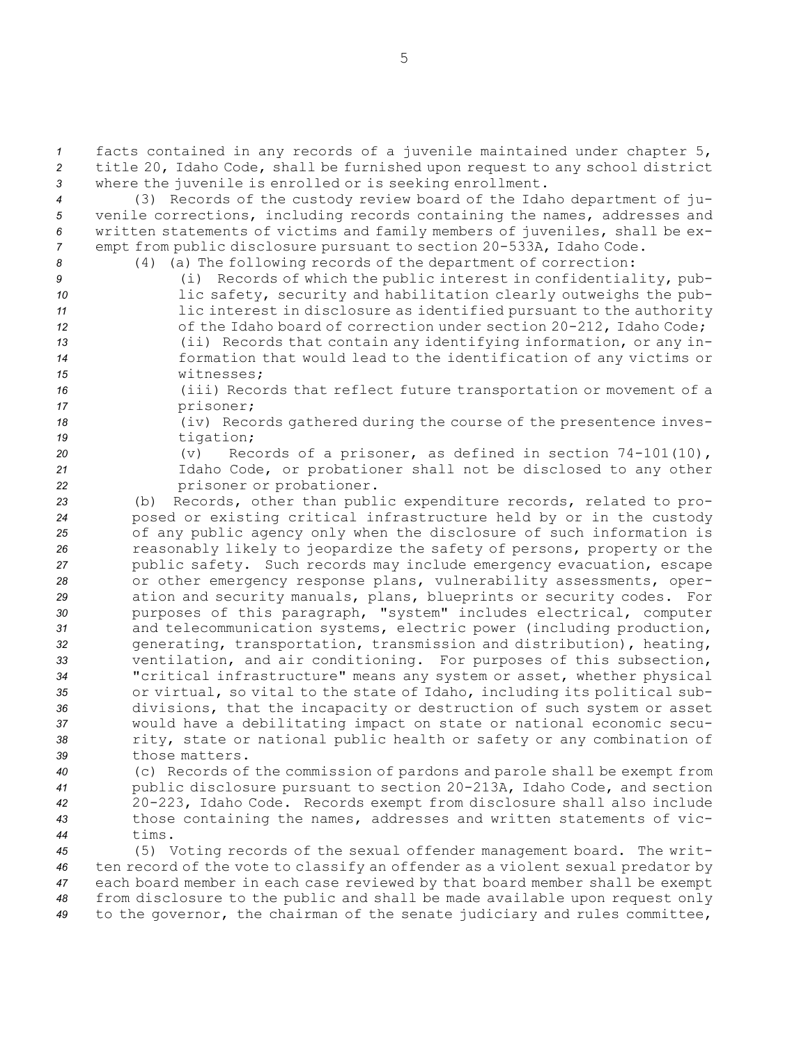*<sup>1</sup>* facts contained in any records of <sup>a</sup> juvenile maintained under chapter 5, *<sup>2</sup>* title 20, Idaho Code, shall be furnished upon request to any school district *<sup>3</sup>* where the juvenile is enrolled or is seeking enrollment.

 (3) Records of the custody review board of the Idaho department of ju- venile corrections, including records containing the names, addresses and written statements of victims and family members of juveniles, shall be ex-empt from public disclosure pursuant to section 20-533A, Idaho Code.

*<sup>8</sup>* (4) (a) The following records of the department of correction:

- *<sup>9</sup>* (i) Records of which the public interest in confidentiality, pub-*<sup>10</sup>* lic safety, security and habilitation clearly outweighs the pub-*<sup>11</sup>* lic interest in disclosure as identified pursuant to the authority 12 of the Idaho board of correction under section 20-212, Idaho Code; *<sup>13</sup>* (ii) Records that contain any identifying information, or any in-
- *<sup>14</sup>* formation that would lead to the identification of any victims or *15* witnesses;
- *<sup>16</sup>* (iii) Records that reflect future transportation or movement of <sup>a</sup> *<sup>17</sup>* prisoner;
- *<sup>18</sup>* (iv) Records gathered during the course of the presentence inves-*<sup>19</sup>* tigation;
- 

*<sup>20</sup>* (v) Records of <sup>a</sup> prisoner, as defined in section 74-101(10), *<sup>21</sup>* Idaho Code, or probationer shall not be disclosed to any other *<sup>22</sup>* prisoner or probationer.

- *<sup>23</sup>* (b) Records, other than public expenditure records, related to pro-*<sup>24</sup>* posed or existing critical infrastructure held by or in the custody *<sup>25</sup>* of any public agency only when the disclosure of such information is *<sup>26</sup>* reasonably likely to jeopardize the safety of persons, property or the *<sup>27</sup>* public safety. Such records may include emergency evacuation, escape *<sup>28</sup>* or other emergency response plans, vulnerability assessments, oper-*<sup>29</sup>* ation and security manuals, plans, blueprints or security codes. For *<sup>30</sup>* purposes of this paragraph, "system" includes electrical, computer *<sup>31</sup>* and telecommunication systems, electric power (including production, *<sup>32</sup>* generating, transportation, transmission and distribution), heating, *<sup>33</sup>* ventilation, and air conditioning. For purposes of this subsection, *<sup>34</sup>* "critical infrastructure" means any system or asset, whether physical *<sup>35</sup>* or virtual, so vital to the state of Idaho, including its political sub-*<sup>36</sup>* divisions, that the incapacity or destruction of such system or asset *<sup>37</sup>* would have <sup>a</sup> debilitating impact on state or national economic secu-*<sup>38</sup>* rity, state or national public health or safety or any combination of *39* those matters.
- *<sup>40</sup>* (c) Records of the commission of pardons and parole shall be exempt from *<sup>41</sup>* public disclosure pursuant to section 20-213A, Idaho Code, and section *<sup>42</sup>* 20-223, Idaho Code. Records exempt from disclosure shall also include *<sup>43</sup>* those containing the names, addresses and written statements of vic-*44* tims.

 (5) Voting records of the sexual offender management board. The writ- ten record of the vote to classify an offender as <sup>a</sup> violent sexual predator by each board member in each case reviewed by that board member shall be exempt from disclosure to the public and shall be made available upon request only to the governor, the chairman of the senate judiciary and rules committee,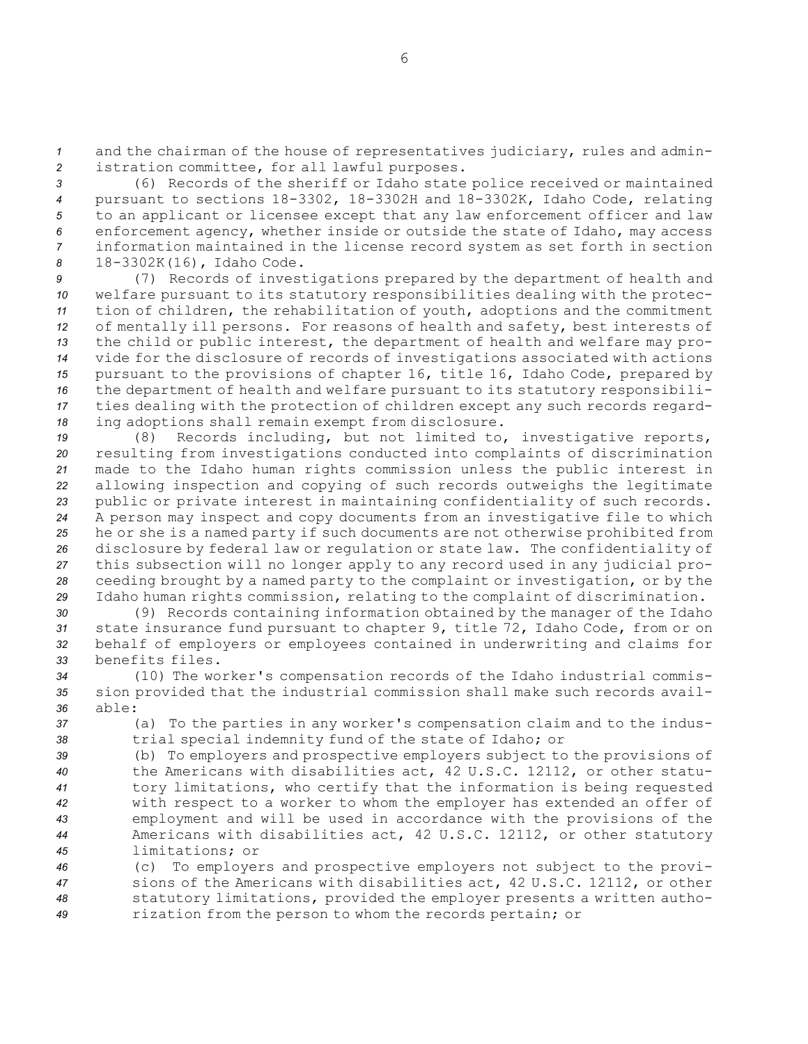*<sup>1</sup>* and the chairman of the house of representatives judiciary, rules and admin-*<sup>2</sup>* istration committee, for all lawful purposes.

 (6) Records of the sheriff or Idaho state police received or maintained pursuant to sections 18-3302, 18-3302H and 18-3302K, Idaho Code, relating to an applicant or licensee except that any law enforcement officer and law enforcement agency, whether inside or outside the state of Idaho, may access information maintained in the license record system as set forth in section 18-3302K(16), Idaho Code.

 (7) Records of investigations prepared by the department of health and welfare pursuant to its statutory responsibilities dealing with the protec- tion of children, the rehabilitation of youth, adoptions and the commitment of mentally ill persons. For reasons of health and safety, best interests of the child or public interest, the department of health and welfare may pro- vide for the disclosure of records of investigations associated with actions pursuant to the provisions of chapter 16, title 16, Idaho Code, prepared by the department of health and welfare pursuant to its statutory responsibili- ties dealing with the protection of children except any such records regard-ing adoptions shall remain exempt from disclosure.

 (8) Records including, but not limited to, investigative reports, resulting from investigations conducted into complaints of discrimination made to the Idaho human rights commission unless the public interest in allowing inspection and copying of such records outweighs the legitimate public or private interest in maintaining confidentiality of such records. <sup>A</sup> person may inspect and copy documents from an investigative file to which he or she is <sup>a</sup> named party if such documents are not otherwise prohibited from disclosure by federal law or regulation or state law. The confidentiality of this subsection will no longer apply to any record used in any judicial pro- ceeding brought by <sup>a</sup> named party to the complaint or investigation, or by the Idaho human rights commission, relating to the complaint of discrimination.

 (9) Records containing information obtained by the manager of the Idaho state insurance fund pursuant to chapter 9, title 72, Idaho Code, from or on behalf of employers or employees contained in underwriting and claims for benefits files.

*<sup>34</sup>* (10) The worker's compensation records of the Idaho industrial commis-*<sup>35</sup>* sion provided that the industrial commission shall make such records avail-*36* able:

*<sup>37</sup>* (a) To the parties in any worker's compensation claim and to the indus-*<sup>38</sup>* trial special indemnity fund of the state of Idaho; or

 (b) To employers and prospective employers subject to the provisions of the Americans with disabilities act, 42 U.S.C. 12112, or other statu- tory limitations, who certify that the information is being requested with respect to <sup>a</sup> worker to whom the employer has extended an offer of employment and will be used in accordance with the provisions of the Americans with disabilities act, 42 U.S.C. 12112, or other statutory limitations; or

 (c) To employers and prospective employers not subject to the provi- sions of the Americans with disabilities act, 42 U.S.C. 12112, or other statutory limitations, provided the employer presents <sup>a</sup> written autho-rization from the person to whom the records pertain; or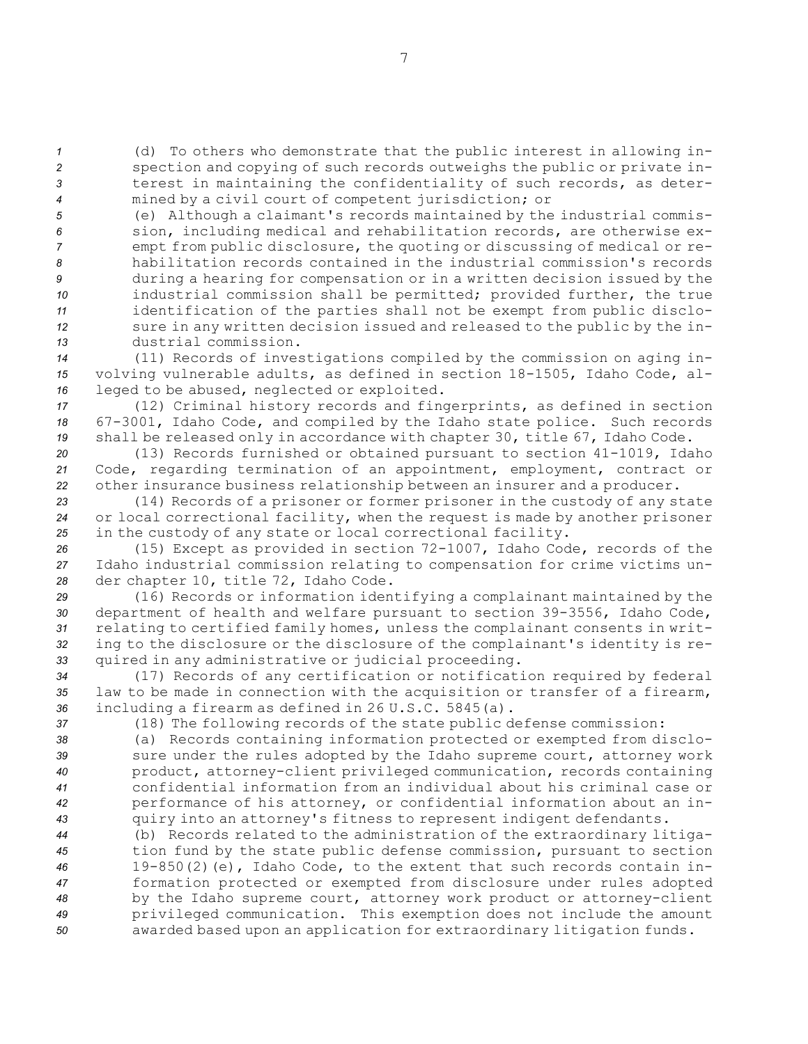(d) To others who demonstrate that the public interest in allowing in- spection and copying of such records outweighs the public or private in- terest in maintaining the confidentiality of such records, as deter-mined by <sup>a</sup> civil court of competent jurisdiction; or

 (e) Although <sup>a</sup> claimant's records maintained by the industrial commis- sion, including medical and rehabilitation records, are otherwise ex- empt from public disclosure, the quoting or discussing of medical or re- habilitation records contained in the industrial commission's records during <sup>a</sup> hearing for compensation or in <sup>a</sup> written decision issued by the industrial commission shall be permitted; provided further, the true identification of the parties shall not be exempt from public disclo- sure in any written decision issued and released to the public by the in-dustrial commission.

*<sup>14</sup>* (11) Records of investigations compiled by the commission on aging in-*<sup>15</sup>* volving vulnerable adults, as defined in section 18-1505, Idaho Code, al-*<sup>16</sup>* leged to be abused, neglected or exploited.

*<sup>17</sup>* (12) Criminal history records and fingerprints, as defined in section *<sup>18</sup>* 67-3001, Idaho Code, and compiled by the Idaho state police. Such records *<sup>19</sup>* shall be released only in accordance with chapter 30, title 67, Idaho Code.

*<sup>20</sup>* (13) Records furnished or obtained pursuant to section 41-1019, Idaho *<sup>21</sup>* Code, regarding termination of an appointment, employment, contract or *<sup>22</sup>* other insurance business relationship between an insurer and <sup>a</sup> producer.

*<sup>23</sup>* (14) Records of <sup>a</sup> prisoner or former prisoner in the custody of any state *<sup>24</sup>* or local correctional facility, when the request is made by another prisoner *<sup>25</sup>* in the custody of any state or local correctional facility.

*<sup>26</sup>* (15) Except as provided in section 72-1007, Idaho Code, records of the *<sup>27</sup>* Idaho industrial commission relating to compensation for crime victims un-*<sup>28</sup>* der chapter 10, title 72, Idaho Code.

 (16) Records or information identifying <sup>a</sup> complainant maintained by the department of health and welfare pursuant to section 39-3556, Idaho Code, relating to certified family homes, unless the complainant consents in writ- ing to the disclosure or the disclosure of the complainant's identity is re-quired in any administrative or judicial proceeding.

*<sup>34</sup>* (17) Records of any certification or notification required by federal *<sup>35</sup>* law to be made in connection with the acquisition or transfer of <sup>a</sup> firearm, *<sup>36</sup>* including <sup>a</sup> firearm as defined in 26 U.S.C. 5845(a).

*<sup>37</sup>* (18) The following records of the state public defense commission:

 (a) Records containing information protected or exempted from disclo- sure under the rules adopted by the Idaho supreme court, attorney work product, attorney-client privileged communication, records containing confidential information from an individual about his criminal case or performance of his attorney, or confidential information about an in-quiry into an attorney's fitness to represent indigent defendants.

 (b) Records related to the administration of the extraordinary litiga- tion fund by the state public defense commission, pursuant to section 19-850(2)(e), Idaho Code, to the extent that such records contain in- formation protected or exempted from disclosure under rules adopted by the Idaho supreme court, attorney work product or attorney-client privileged communication. This exemption does not include the amount awarded based upon an application for extraordinary litigation funds.